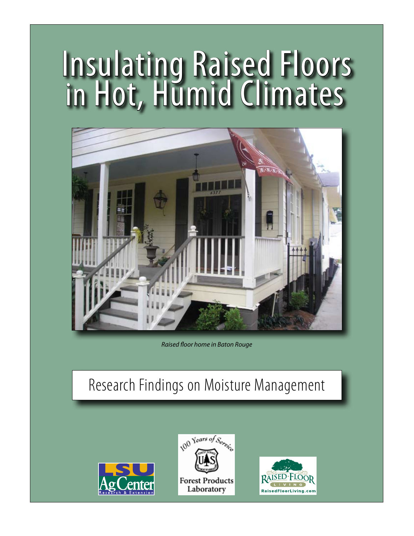# Insulating Raised Floors in Hot, Humid Climates



*Raised floor home in Baton Rouge*

# Research Findings on Moisture Management





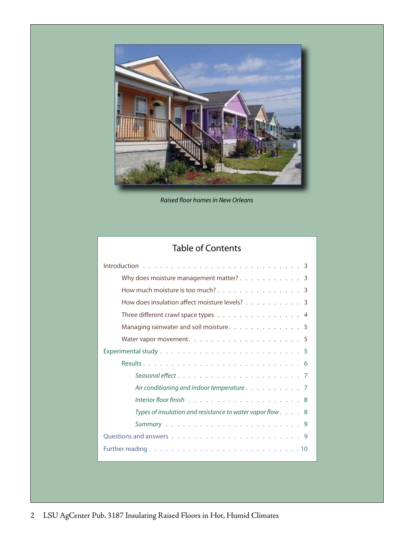

*Raised floor homes in New Orleans*

# Table of Contents

| Why does moisture management matter? $\ldots$ 3                     |
|---------------------------------------------------------------------|
| How much moisture is too much?. 3                                   |
| How does insulation affect moisture levels? 3                       |
| Three different crawl space types 4                                 |
| Managing rainwater and soil moisture. 5                             |
|                                                                     |
|                                                                     |
|                                                                     |
|                                                                     |
| Air conditioning and indoor temperature $\ldots \ldots \ldots$      |
|                                                                     |
| Types of insulation and resistance to water vapor flow $\ldots$ . 8 |
|                                                                     |
|                                                                     |
|                                                                     |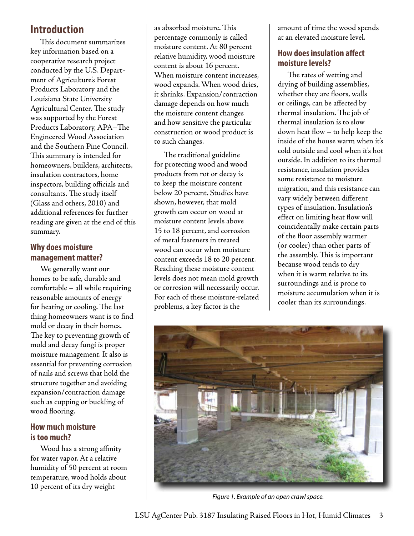# **Introduction**

This document summarizes key information based on a cooperative research project conducted by the U.S. Department of Agriculture's Forest Products Laboratory and the Louisiana State University Agricultural Center. The study was supported by the Forest Products Laboratory, APA–The Engineered Wood Association and the Southern Pine Council. This summary is intended for homeowners, builders, architects, insulation contractors, home inspectors, building officials and consultants. The study itself (Glass and others, 2010) and additional references for further reading are given at the end of this summary.

# **Why does moisture management matter?**

We generally want our homes to be safe, durable and comfortable – all while requiring reasonable amounts of energy for heating or cooling. The last thing homeowners want is to find mold or decay in their homes. The key to preventing growth of mold and decay fungi is proper moisture management. It also is essential for preventing corrosion of nails and screws that hold the structure together and avoiding expansion/contraction damage such as cupping or buckling of wood flooring.

# **How much moisture is too much?**

Wood has a strong affinity for water vapor. At a relative humidity of 50 percent at room temperature, wood holds about 10 percent of its dry weight

as absorbed moisture. This percentage commonly is called moisture content. At 80 percent relative humidity, wood moisture content is about 16 percent. When moisture content increases, wood expands. When wood dries, it shrinks. Expansion/contraction damage depends on how much the moisture content changes and how sensitive the particular construction or wood product is to such changes.

The traditional guideline for protecting wood and wood products from rot or decay is to keep the moisture content below 20 percent. Studies have shown, however, that mold growth can occur on wood at moisture content levels above 15 to 18 percent, and corrosion of metal fasteners in treated wood can occur when moisture content exceeds 18 to 20 percent. Reaching these moisture content levels does not mean mold growth or corrosion will necessarily occur. For each of these moisture-related problems, a key factor is the

amount of time the wood spends at an elevated moisture level.

# **How does insulation affect moisture levels?**

The rates of wetting and drying of building assemblies, whether they are floors, walls or ceilings, can be affected by thermal insulation. The job of thermal insulation is to slow down heat flow – to help keep the inside of the house warm when it's cold outside and cool when it's hot outside. In addition to its thermal resistance, insulation provides some resistance to moisture migration, and this resistance can vary widely between different types of insulation. Insulation's effect on limiting heat flow will coincidentally make certain parts of the floor assembly warmer (or cooler) than other parts of the assembly. This is important because wood tends to dry when it is warm relative to its surroundings and is prone to moisture accumulation when it is cooler than its surroundings.



*Figure 1. Example of an open crawl space.*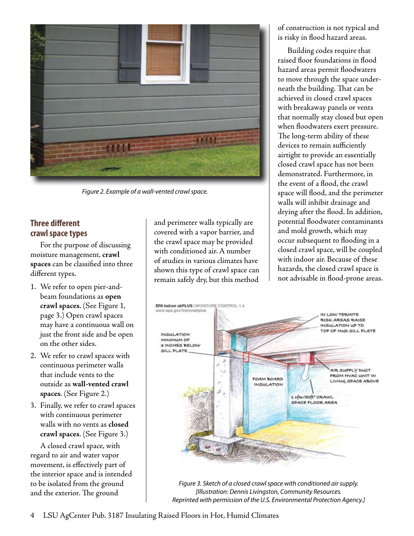

*Figure 2. Example of a wall-vented crawl space.*

# **Three different crawl space types**

For the purpose of discussing moisture management, **crawl spaces** can be classified into three different types.

- 1. We refer to open pier-andbeam foundations as **open crawl spaces**. (See Figure 1, page 3.) Open crawl spaces may have a continuous wall on just the front side and be open on the other sides.
- 2. We refer to crawl spaces with continuous perimeter walls that include vents to the outside as **wall-vented crawl spaces**. (See Figure 2.)
- 3. Finally, we refer to crawl spaces with continuous perimeter walls with no vents as **closed crawl spaces**. (See Figure 3.)

A closed crawl space, with regard to air and water vapor movement, is effectively part of the interior space and is intended to be isolated from the ground and the exterior. The ground

and perimeter walls typically are covered with a vapor barrier, and the crawl space may be provided with conditioned air. A number of studies in various climates have shown this type of crawl space can remain safely dry, but this method

of construction is not typical and is risky in flood hazard areas.

Building codes require that raised floor foundations in flood hazard areas permit floodwaters to move through the space underneath the building. That can be achieved in closed crawl spaces with breakaway panels or vents that normally stay closed but open when floodwaters exert pressure. The long-term ability of these devices to remain sufficiently airtight to provide an essentially closed crawl space has not been demonstrated. Furthermore, in the event of a flood, the crawl space will flood, and the perimeter walls will inhibit drainage and drying after the flood. In addition, potential floodwater contaminants and mold growth, which may occur subsequent to flooding in a closed crawl space, will be coupled with indoor air. Because of these hazards, the closed crawl space is not advisable in flood-prone areas.



*Figure 3. Sketch of a closed crawl space with conditioned air supply. [Illustration: Dennis Livingston, Community Resources. Reprinted with permission of the U.S. Environmental Protection Agency.]*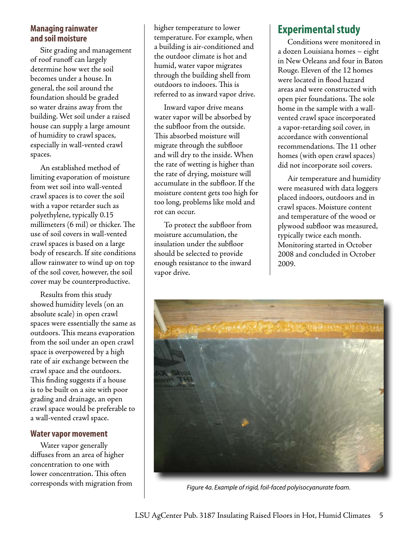# **Managing rainwater and soil moisture**

Site grading and management of roof runoff can largely determine how wet the soil becomes under a house. In general, the soil around the foundation should be graded so water drains away from the building. Wet soil under a raised house can supply a large amount of humidity to crawl spaces, especially in wall-vented crawl spaces.

An established method of limiting evaporation of moisture from wet soil into wall-vented crawl spaces is to cover the soil with a vapor retarder such as polyethylene, typically 0.15 millimeters (6 mil) or thicker. The use of soil covers in wall-vented crawl spaces is based on a large body of research. If site conditions allow rainwater to wind up on top of the soil cover, however, the soil cover may be counterproductive.

Results from this study showed humidity levels (on an absolute scale) in open crawl spaces were essentially the same as outdoors. This means evaporation from the soil under an open crawl space is overpowered by a high rate of air exchange between the crawl space and the outdoors. This finding suggests if a house is to be built on a site with poor grading and drainage, an open crawl space would be preferable to a wall-vented crawl space.

# **Water vapor movement**

Water vapor generally diffuses from an area of higher concentration to one with lower concentration. This often corresponds with migration from higher temperature to lower temperature. For example, when a building is air-conditioned and the outdoor climate is hot and humid, water vapor migrates through the building shell from outdoors to indoors. This is referred to as inward vapor drive.

Inward vapor drive means water vapor will be absorbed by the subfloor from the outside. This absorbed moisture will migrate through the subfloor and will dry to the inside. When the rate of wetting is higher than the rate of drying, moisture will accumulate in the subfloor. If the moisture content gets too high for too long, problems like mold and rot can occur.

To protect the subfloor from moisture accumulation, the insulation under the subfloor should be selected to provide enough resistance to the inward vapor drive.

# **Experimental study**

Conditions were monitored in a dozen Louisiana homes – eight in New Orleans and four in Baton Rouge. Eleven of the 12 homes were located in flood hazard areas and were constructed with open pier foundations. The sole home in the sample with a wallvented crawl space incorporated a vapor-retarding soil cover, in accordance with conventional recommendations. The 11 other homes (with open crawl spaces) did not incorporate soil covers.

Air temperature and humidity were measured with data loggers placed indoors, outdoors and in crawl spaces. Moisture content and temperature of the wood or plywood subfloor was measured, typically twice each month. Monitoring started in October 2008 and concluded in October 2009.



*Figure 4a. Example of rigid, foil-faced polyisocyanurate foam.*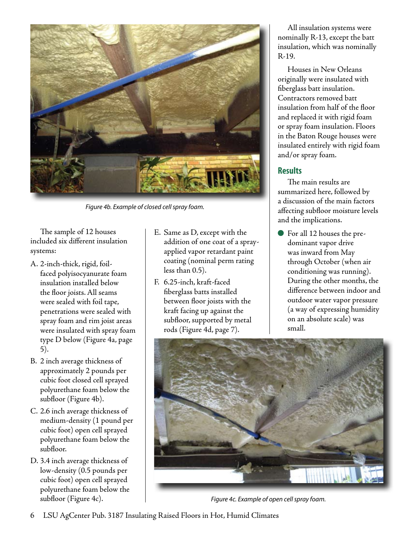

*Figure 4b. Example of closed cell spray foam.*

The sample of 12 houses included six different insulation systems:

- A. 2-inch-thick, rigid, foilfaced polyisocyanurate foam insulation installed below the floor joists. All seams were sealed with foil tape, penetrations were sealed with spray foam and rim joist areas were insulated with spray foam type D below (Figure 4a, page 5).
- B. 2 inch average thickness of approximately 2 pounds per cubic foot closed cell sprayed polyurethane foam below the subfloor (Figure 4b).
- C. 2.6 inch average thickness of medium-density (1 pound per cubic foot) open cell sprayed polyurethane foam below the subfloor.
- D. 3.4 inch average thickness of low-density (0.5 pounds per cubic foot) open cell sprayed polyurethane foam below the subfloor (Figure 4c).
- E. Same as D, except with the addition of one coat of a sprayapplied vapor retardant paint coating (nominal perm rating less than 0.5).
- F. 6.25-inch, kraft-faced fiberglass batts installed between floor joists with the kraft facing up against the subfloor, supported by metal rods (Figure 4d, page 7).

All insulation systems were nominally R-13, except the batt insulation, which was nominally R-19.

Houses in New Orleans originally were insulated with fiberglass batt insulation. Contractors removed batt insulation from half of the floor and replaced it with rigid foam or spray foam insulation. Floors in the Baton Rouge houses were insulated entirely with rigid foam and/or spray foam.

# **Results**

The main results are summarized here, followed by a discussion of the main factors affecting subfloor moisture levels and the implications.

For all 12 houses the predominant vapor drive was inward from May through October (when air conditioning was running). During the other months, the difference between indoor and outdoor water vapor pressure (a way of expressing humidity on an absolute scale) was small.



*Figure 4c. Example of open cell spray foam.*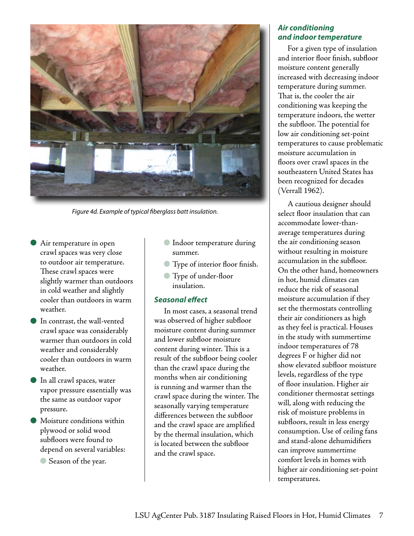

*Figure 4d. Example of typical fiberglass batt insulation.*

- Air temperature in open crawl spaces was very close to outdoor air temperature. These crawl spaces were slightly warmer than outdoors in cold weather and slightly cooler than outdoors in warm weather.
- In contrast, the wall-vented crawl space was considerably warmer than outdoors in cold weather and considerably cooler than outdoors in warm weather.
- In all crawl spaces, water vapor pressure essentially was the same as outdoor vapor pressure.
- Moisture conditions within plywood or solid wood subfloors were found to depend on several variables:
	- Season of the year.
- Indoor temperature during summer.
- Type of interior floor finish.
- Type of under-floor insulation.

#### *Seasonal effect*

In most cases, a seasonal trend was observed of higher subfloor moisture content during summer and lower subfloor moisture content during winter. This is a result of the subfloor being cooler than the crawl space during the months when air conditioning is running and warmer than the crawl space during the winter. The seasonally varying temperature differences between the subfloor and the crawl space are amplified by the thermal insulation, which is located between the subfloor and the crawl space.

#### *Air conditioning and indoor temperature*

For a given type of insulation and interior floor finish, subfloor moisture content generally increased with decreasing indoor temperature during summer. That is, the cooler the air conditioning was keeping the temperature indoors, the wetter the subfloor. The potential for low air conditioning set-point temperatures to cause problematic moisture accumulation in floors over crawl spaces in the southeastern United States has been recognized for decades (Verrall 1962).

A cautious designer should select floor insulation that can accommodate lower-thanaverage temperatures during the air conditioning season without resulting in moisture accumulation in the subfloor. On the other hand, homeowners in hot, humid climates can reduce the risk of seasonal moisture accumulation if they set the thermostats controlling their air conditioners as high as they feel is practical. Houses in the study with summertime indoor temperatures of 78 degrees F or higher did not show elevated subfloor moisture levels, regardless of the type of floor insulation. Higher air conditioner thermostat settings will, along with reducing the risk of moisture problems in subfloors, result in less energy consumption. Use of ceiling fans and stand-alone dehumidifiers can improve summertime comfort levels in homes with higher air conditioning set-point temperatures.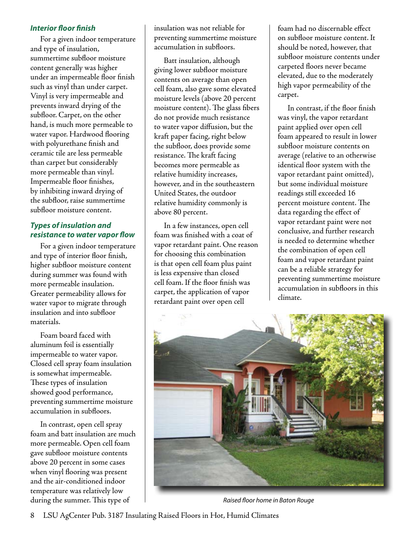#### *Interior floor finish*

For a given indoor temperature and type of insulation, summertime subfloor moisture content generally was higher under an impermeable floor finish such as vinyl than under carpet. Vinyl is very impermeable and prevents inward drying of the subfloor. Carpet, on the other hand, is much more permeable to water vapor. Hardwood flooring with polyurethane finish and ceramic tile are less permeable than carpet but considerably more permeable than vinyl. Impermeable floor finishes, by inhibiting inward drying of the subfloor, raise summertime subfloor moisture content.

# *Types of insulation and resistance to water vapor flow*

For a given indoor temperature and type of interior floor finish, higher subfloor moisture content during summer was found with more permeable insulation. Greater permeability allows for water vapor to migrate through insulation and into subfloor materials.

Foam board faced with aluminum foil is essentially impermeable to water vapor. Closed cell spray foam insulation is somewhat impermeable. These types of insulation showed good performance, preventing summertime moisture accumulation in subfloors.

In contrast, open cell spray foam and batt insulation are much more permeable. Open cell foam gave subfloor moisture contents above 20 percent in some cases when vinyl flooring was present and the air-conditioned indoor temperature was relatively low during the summer. This type of

insulation was not reliable for preventing summertime moisture accumulation in subfloors.

Batt insulation, although giving lower subfloor moisture contents on average than open cell foam, also gave some elevated moisture levels (above 20 percent moisture content). The glass fibers do not provide much resistance to water vapor diffusion, but the kraft paper facing, right below the subfloor, does provide some resistance. The kraft facing becomes more permeable as relative humidity increases, however, and in the southeastern United States, the outdoor relative humidity commonly is above 80 percent.

In a few instances, open cell foam was finished with a coat of vapor retardant paint. One reason for choosing this combination is that open cell foam plus paint is less expensive than closed cell foam. If the floor finish was carpet, the application of vapor retardant paint over open cell

foam had no discernable effect on subfloor moisture content. It should be noted, however, that subfloor moisture contents under carpeted floors never became elevated, due to the moderately high vapor permeability of the carpet.

In contrast, if the floor finish was vinyl, the vapor retardant paint applied over open cell foam appeared to result in lower subfloor moisture contents on average (relative to an otherwise identical floor system with the vapor retardant paint omitted), but some individual moisture readings still exceeded 16 percent moisture content. The data regarding the effect of vapor retardant paint were not conclusive, and further research is needed to determine whether the combination of open cell foam and vapor retardant paint can be a reliable strategy for preventing summertime moisture accumulation in subfloors in this climate.



*Raised floor home in Baton Rouge*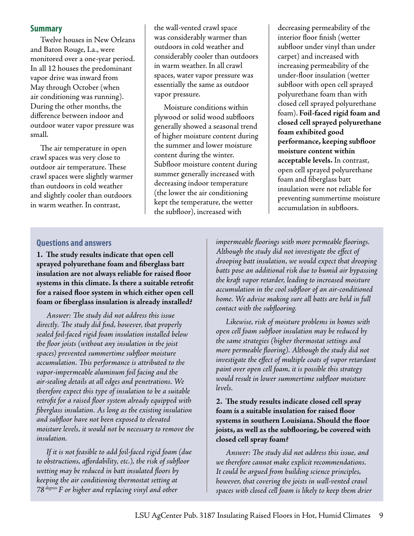#### **Summary**

Twelve houses in New Orleans and Baton Rouge, La., were monitored over a one-year period. In all 12 houses the predominant vapor drive was inward from May through October (when air conditioning was running). During the other months, the difference between indoor and outdoor water vapor pressure was small.

The air temperature in open crawl spaces was very close to outdoor air temperature. These crawl spaces were slightly warmer than outdoors in cold weather and slightly cooler than outdoors in warm weather. In contrast,

the wall-vented crawl space was considerably warmer than outdoors in cold weather and considerably cooler than outdoors in warm weather. In all crawl spaces, water vapor pressure was essentially the same as outdoor vapor pressure.

Moisture conditions within plywood or solid wood subfloors generally showed a seasonal trend of higher moisture content during the summer and lower moisture content during the winter. Subfloor moisture content during summer generally increased with decreasing indoor temperature (the lower the air conditioning kept the temperature, the wetter the subfloor), increased with

decreasing permeability of the interior floor finish (wetter subfloor under vinyl than under carpet) and increased with increasing permeability of the under-floor insulation (wetter subfloor with open cell sprayed polyurethane foam than with closed cell sprayed polyurethane foam). **Foil-faced rigid foam and closed cell sprayed polyurethane foam exhibited good performance, keeping subfloor moisture content within acceptable levels.** In contrast, open cell sprayed polyurethane foam and fiberglass batt insulation were not reliable for preventing summertime moisture accumulation in subfloors.

#### **Questions and answers**

**1. The study results indicate that open cell sprayed polyurethane foam and fiberglass batt insulation are not always reliable for raised floor systems in this climate. Is there a suitable retrofit for a raised floor system in which either open cell foam or fiberglass insulation is already installed?**

*Answer: The study did not address this issue directly. The study did find, however, that properly sealed foil-faced rigid foam insulation installed below the floor joists (without any insulation in the joist spaces) prevented summertime subfloor moisture accumulation. This performance is attributed to the vapor-impermeable aluminum foil facing and the air-sealing details at all edges and penetrations. We therefore expect this type of insulation to be a suitable retrofit for a raised floor system already equipped with fiberglass insulation. As long as the existing insulation and subfloor have not been exposed to elevated moisture levels, it would not be necessary to remove the insulation.*

*If it is not feasible to add foil-faced rigid foam (due to obstructions, affordability, etc.), the risk of subfloor wetting may be reduced in batt insulated floors by keeping the air conditioning thermostat setting at 78 degrees F or higher and replacing vinyl and other* 

*impermeable floorings with more permeable floorings. Although the study did not investigate the effect of drooping batt insulation, we would expect that drooping batts pose an additional risk due to humid air bypassing the kraft vapor retarder, leading to increased moisture accumulation in the cool subfloor of an air-conditioned home. We advise making sure all batts are held in full contact with the subflooring.*

*Likewise, risk of moisture problems in homes with open cell foam subfloor insulation may be reduced by the same strategies (higher thermostat settings and more permeable flooring). Although the study did not investigate the effect of multiple coats of vapor retardant paint over open cell foam, it is possible this strategy would result in lower summertime subfloor moisture levels.*

#### **2. The study results indicate closed cell spray foam is a suitable insulation for raised floor systems in southern Louisiana. Should the floor joists, as well as the subflooring, be covered with closed cell spray foam?**

*Answer: The study did not address this issue, and we therefore cannot make explicit recommendations. It could be argued from building science principles, however, that covering the joists in wall-vented crawl spaces with closed cell foam is likely to keep them drier*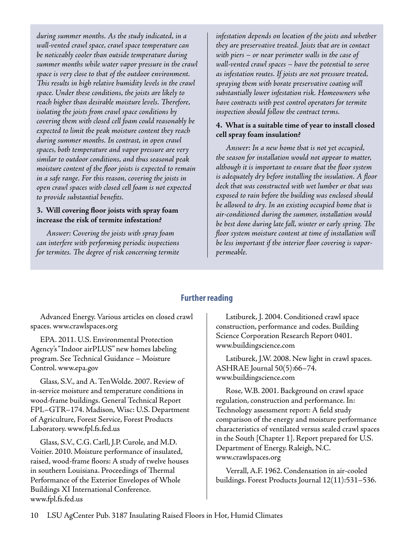*during summer months. As the study indicated, in a wall-vented crawl space, crawl space temperature can be noticeably cooler than outside temperature during summer months while water vapor pressure in the crawl space is very close to that of the outdoor environment. This results in high relative humidity levels in the crawl space. Under these conditions, the joists are likely to reach higher than desirable moisture levels. Therefore, isolating the joists from crawl space conditions by covering them with closed cell foam could reasonably be expected to limit the peak moisture content they reach during summer months. In contrast, in open crawl spaces, both temperature and vapor pressure are very similar to outdoor conditions, and thus seasonal peak moisture content of the floor joists is expected to remain in a safe range. For this reason, covering the joists in open crawl spaces with closed cell foam is not expected to provide substantial benefits.*

#### **3. Will covering floor joists with spray foam increase the risk of termite infestation?**

*Answer: Covering the joists with spray foam can interfere with performing periodic inspections for termites. The degree of risk concerning termite*  *infestation depends on location of the joists and whether they are preservative treated. Joists that are in contact with piers – or near perimeter walls in the case of wall-vented crawl spaces – have the potential to serve as infestation routes. If joists are not pressure treated, spraying them with borate preservative coating will substantially lower infestation risk. Homeowners who have contracts with pest control operators for termite inspection should follow the contract terms.*

# **4. What is a suitable time of year to install closed cell spray foam insulation?**

*Answer: In a new home that is not yet occupied, the season for installation would not appear to matter, although it is important to ensure that the floor system is adequately dry before installing the insulation. A floor deck that was constructed with wet lumber or that was exposed to rain before the building was enclosed should be allowed to dry. In an existing occupied home that is air-conditioned during the summer, installation would be best done during late fall, winter or early spring. The floor system moisture content at time of installation will be less important if the interior floor covering is vaporpermeable.*

# **Further reading**

Advanced Energy. Various articles on closed crawl spaces. www.crawlspaces.org

EPA. 2011. U.S. Environmental Protection Agency's "Indoor airPLUS" new homes labeling program. See Technical Guidance – Moisture Control. www.epa.gov

Glass, S.V., and A. TenWolde. 2007. Review of in-service moisture and temperature conditions in wood-frame buildings. General Technical Report FPL–GTR–174. Madison, Wisc: U.S. Department of Agriculture, Forest Service, Forest Products Laboratory. www.fpl.fs.fed.us

Glass, S.V., C.G. Carll, J.P. Curole, and M.D. Voitier. 2010. Moisture performance of insulated, raised, wood-frame floors: A study of twelve houses in southern Louisiana. Proceedings of Thermal Performance of the Exterior Envelopes of Whole Buildings XI International Conference. www.fpl.fs.fed.us

Lstiburek, J. 2004. Conditioned crawl space construction, performance and codes. Building Science Corporation Research Report 0401. www.buildingscience.com

Lstiburek, J.W. 2008. New light in crawl spaces. ASHRAE Journal 50(5):66–74. www.buildingscience.com

Rose, W.B. 2001. Background on crawl space regulation, construction and performance. In: Technology assessment report: A field study comparison of the energy and moisture performance characteristics of ventilated versus sealed crawl spaces in the South [Chapter 1]. Report prepared for U.S. Department of Energy. Raleigh, N.C. www.crawlspaces.org

Verrall, A.F. 1962. Condensation in air-cooled buildings. Forest Products Journal 12(11):531–536.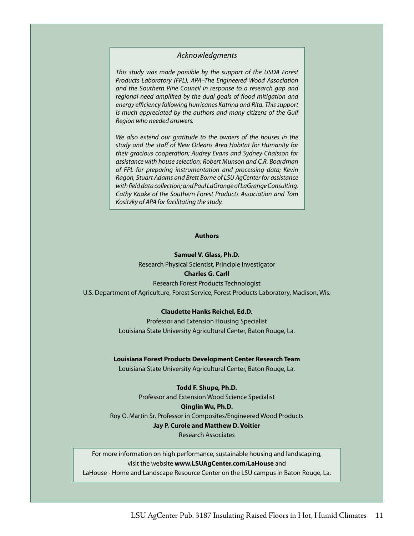#### *Acknowledgments*

*This study was made possible by the support of the USDA Forest Products Laboratory (FPL), APA–The Engineered Wood Association and the Southern Pine Council in response to a research gap and regional need amplified by the dual goals of flood mitigation and energy efficiency following hurricanes Katrina and Rita. This support is much appreciated by the authors and many citizens of the Gulf Region who needed answers.*

*We also extend our gratitude to the owners of the houses in the study and the staff of New Orleans Area Habitat for Humanity for their gracious cooperation; Audrey Evans and Sydney Chaisson for assistance with house selection; Robert Munson and C.R. Boardman of FPL for preparing instrumentation and processing data; Kevin Ragon, Stuart Adams and Brett Borne of LSU AgCenter for assistance with field data collection; and Paul LaGrange of LaGrange Consulting, Cathy Kaake of the Southern Forest Products Association and Tom Kositzky of APA for facilitating the study.*

#### **Authors**

#### **Samuel V. Glass, Ph.D.**

Research Physical Scientist, Principle Investigator

#### **Charles G. Carll**

Research Forest Products Technologist U.S. Department of Agriculture, Forest Service, Forest Products Laboratory, Madison, Wis.

#### **Claudette Hanks Reichel, Ed.D.**

Professor and Extension Housing Specialist Louisiana State University Agricultural Center, Baton Rouge, La.

#### **Louisiana Forest Products Development Center Research Team**

Louisiana State University Agricultural Center, Baton Rouge, La.

#### **Todd F. Shupe, Ph.D.**

Professor and Extension Wood Science Specialist **Qinglin Wu, Ph.D.**  Roy O. Martin Sr. Professor in Composites/Engineered Wood Products **Jay P. Curole and Matthew D. Voitier**

Research Associates

For more information on high performance, sustainable housing and landscaping, visit the website **www.LSUAgCenter.com/LaHouse** and

LaHouse - Home and Landscape Resource Center on the LSU campus in Baton Rouge, La.